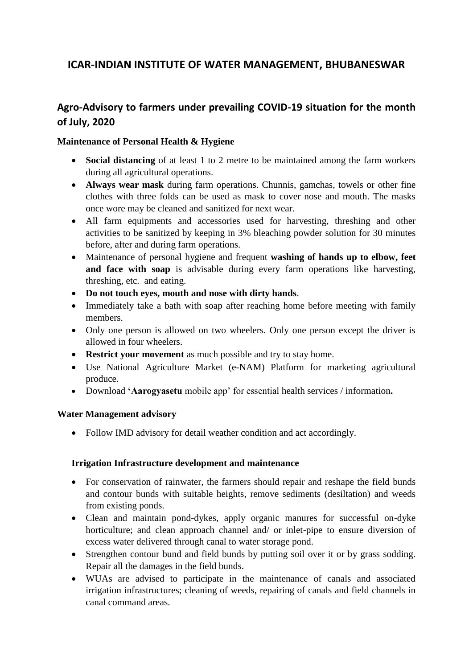# **ICAR-INDIAN INSTITUTE OF WATER MANAGEMENT, BHUBANESWAR**

## **Agro-Advisory to farmers under prevailing COVID-19 situation for the month of July, 2020**

#### **Maintenance of Personal Health & Hygiene**

- **Social distancing** of at least 1 to 2 metre to be maintained among the farm workers during all agricultural operations.
- **Always wear mask** during farm operations. Chunnis, gamchas, towels or other fine clothes with three folds can be used as mask to cover nose and mouth. The masks once wore may be cleaned and sanitized for next wear.
- All farm equipments and accessories used for harvesting, threshing and other activities to be sanitized by keeping in 3% bleaching powder solution for 30 minutes before, after and during farm operations.
- Maintenance of personal hygiene and frequent **washing of hands up to elbow, feet and face with soap** is advisable during every farm operations like harvesting, threshing, etc. and eating.
- **Do not touch eyes, mouth and nose with dirty hands**.
- Immediately take a bath with soap after reaching home before meeting with family members.
- Only one person is allowed on two wheelers. Only one person except the driver is allowed in four wheelers.
- **Restrict your movement** as much possible and try to stay home.
- Use National Agriculture Market (e-NAM) Platform for marketing agricultural produce.
- Download **'Aarogyasetu** mobile app' for essential health services / information**.**

#### **Water Management advisory**

Follow IMD advisory for detail weather condition and act accordingly.

#### **Irrigation Infrastructure development and maintenance**

- For conservation of rainwater, the farmers should repair and reshape the field bunds and contour bunds with suitable heights, remove sediments (desiltation) and weeds from existing ponds.
- Clean and maintain pond-dykes, apply organic manures for successful on-dyke horticulture; and clean approach channel and/ or inlet-pipe to ensure diversion of excess water delivered through canal to water storage pond.
- Strengthen contour bund and field bunds by putting soil over it or by grass sodding. Repair all the damages in the field bunds.
- WUAs are advised to participate in the maintenance of canals and associated irrigation infrastructures; cleaning of weeds, repairing of canals and field channels in canal command areas.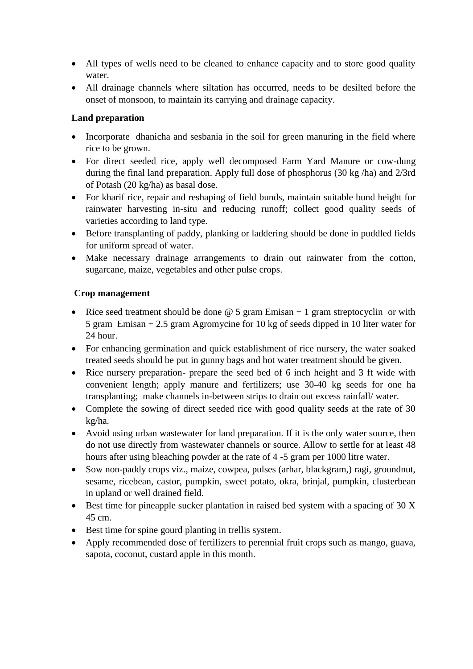- All types of wells need to be cleaned to enhance capacity and to store good quality water.
- All drainage channels where siltation has occurred, needs to be desilted before the onset of monsoon, to maintain its carrying and drainage capacity.

## **Land preparation**

- Incorporate dhanicha and sesbania in the soil for green manuring in the field where rice to be grown.
- For direct seeded rice, apply well decomposed Farm Yard Manure or cow-dung during the final land preparation. Apply full dose of phosphorus (30 kg /ha) and 2/3rd of Potash (20 kg/ha) as basal dose.
- For kharif rice, repair and reshaping of field bunds, maintain suitable bund height for rainwater harvesting in-situ and reducing runoff; collect good quality seeds of varieties according to land type.
- Before transplanting of paddy, planking or laddering should be done in puddled fields for uniform spread of water.
- Make necessary drainage arrangements to drain out rainwater from the cotton, sugarcane, maize, vegetables and other pulse crops.

## **Crop management**

- Rice seed treatment should be done  $\omega$  5 gram Emisan + 1 gram streptocyclin or with 5 gram Emisan + 2.5 gram Agromycine for 10 kg of seeds dipped in 10 liter water for 24 hour.
- For enhancing germination and quick establishment of rice nursery, the water soaked treated seeds should be put in gunny bags and hot water treatment should be given.
- Rice nursery preparation- prepare the seed bed of 6 inch height and 3 ft wide with convenient length; apply manure and fertilizers; use 30-40 kg seeds for one ha transplanting; make channels in-between strips to drain out excess rainfall/ water.
- Complete the sowing of direct seeded rice with good quality seeds at the rate of 30 kg/ha.
- Avoid using urban wastewater for land preparation. If it is the only water source, then do not use directly from wastewater channels or source. Allow to settle for at least 48 hours after using bleaching powder at the rate of 4 -5 gram per 1000 litre water.
- Sow non-paddy crops viz., maize, cowpea, pulses (arhar, blackgram,) ragi, groundnut, sesame, ricebean, castor, pumpkin, sweet potato, okra, brinjal, pumpkin, clusterbean in upland or well drained field.
- Best time for pineapple sucker plantation in raised bed system with a spacing of  $30 X$ 45 cm.
- Best time for spine gourd planting in trellis system.
- Apply recommended dose of fertilizers to perennial fruit crops such as mango, guava, sapota, coconut, custard apple in this month.